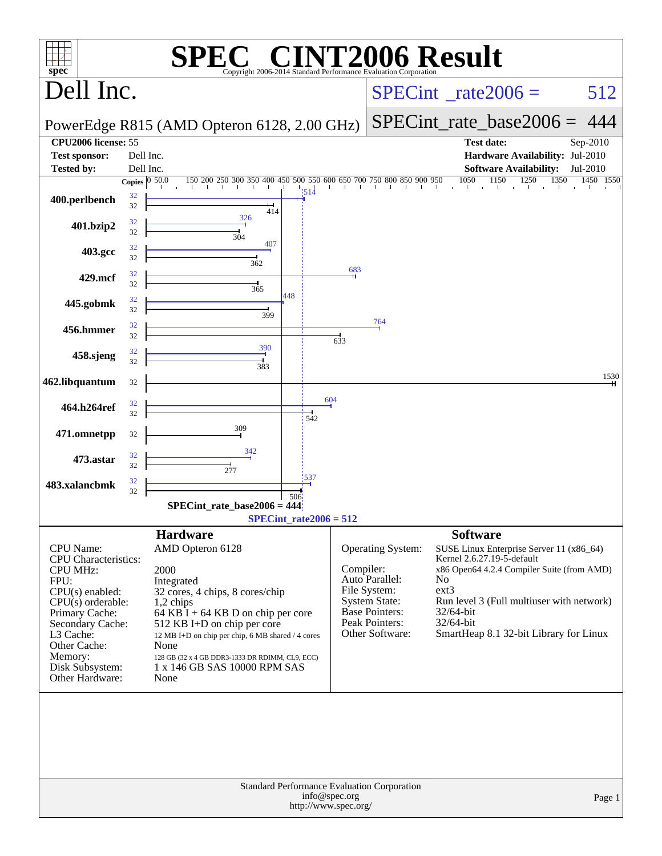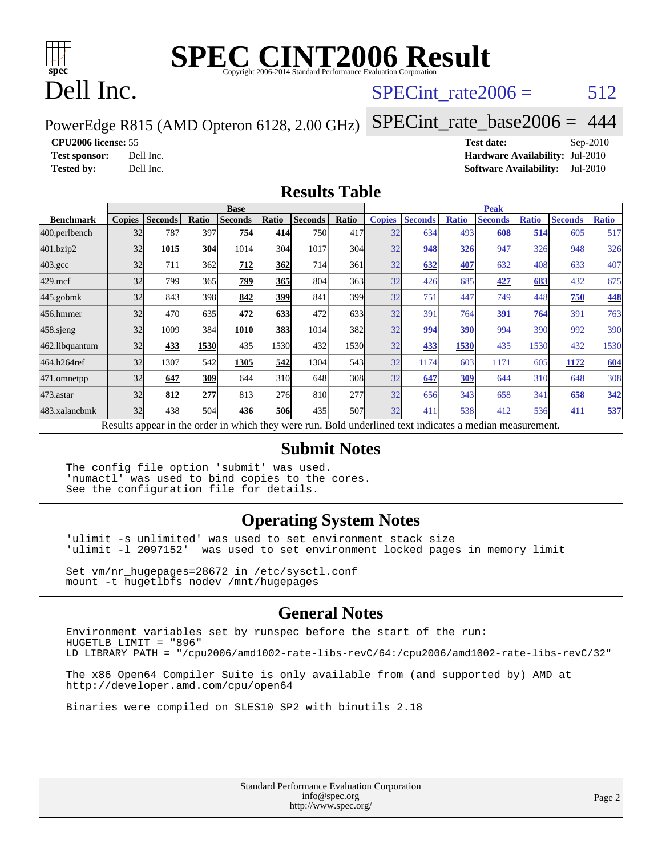

# **[SPEC CINT2006 Result](http://www.spec.org/auto/cpu2006/Docs/result-fields.html#SPECCINT2006Result)**

## Dell Inc.

#### SPECint rate  $2006 = 512$

PowerEdge R815 (AMD Opteron 6128, 2.00 GHz)

[SPECint\\_rate\\_base2006 =](http://www.spec.org/auto/cpu2006/Docs/result-fields.html#SPECintratebase2006) 444

**[CPU2006 license:](http://www.spec.org/auto/cpu2006/Docs/result-fields.html#CPU2006license)** 55 **[Test date:](http://www.spec.org/auto/cpu2006/Docs/result-fields.html#Testdate)** Sep-2010

**[Test sponsor:](http://www.spec.org/auto/cpu2006/Docs/result-fields.html#Testsponsor)** Dell Inc. **[Hardware Availability:](http://www.spec.org/auto/cpu2006/Docs/result-fields.html#HardwareAvailability)** Jul-2010 **[Tested by:](http://www.spec.org/auto/cpu2006/Docs/result-fields.html#Testedby)** Dell Inc. **[Software Availability:](http://www.spec.org/auto/cpu2006/Docs/result-fields.html#SoftwareAvailability)** Jul-2010

#### **[Results Table](http://www.spec.org/auto/cpu2006/Docs/result-fields.html#ResultsTable)**

|                                                                                                          | <b>Base</b>   |                |       |                |                 |                | <b>Peak</b>      |               |                |              |                |              |                |              |
|----------------------------------------------------------------------------------------------------------|---------------|----------------|-------|----------------|-----------------|----------------|------------------|---------------|----------------|--------------|----------------|--------------|----------------|--------------|
| <b>Benchmark</b>                                                                                         | <b>Copies</b> | <b>Seconds</b> | Ratio | <b>Seconds</b> | Ratio           | <b>Seconds</b> | Ratio            | <b>Copies</b> | <b>Seconds</b> | <b>Ratio</b> | <b>Seconds</b> | <b>Ratio</b> | <b>Seconds</b> | <b>Ratio</b> |
| 400.perlbench                                                                                            | 32            | 787            | 397   | 754            | 414             | 750            | 417              | 32            | 634            | 493          | 608            | 514          | 605            | 517          |
| 401.bzip2                                                                                                | 32            | 1015           | 304   | 1014           | 304             | 1017           | 304              | 32            | 948            | 326          | 947            | 326          | 948            | 326          |
| $403.\mathrm{gcc}$                                                                                       | 32            | 711            | 362   | 712            | 362             | 714            | 361              | 32            | 632            | 407          | 632            | 408          | 633            | 407          |
| $429$ .mcf                                                                                               | 32            | 799            | 365   | 799            | 365             | 804            | 363              | 32            | 426            | 685          | 427            | 683          | 432            | 675          |
| 445.gobmk                                                                                                | 32            | 843            | 398   | 842            | 399             | 841            | 399 <sub>l</sub> | 32            | 751            | 447          | 749            | 448          | 750            | 448          |
| 456.hmmer                                                                                                | 32            | 470            | 635   | 472            | 633             | 472            | 633              | 32            | 391            | 764          | 391            | 764          | 391            | 763          |
| $458$ .sjeng                                                                                             | 32            | 1009           | 384   | 1010           | 383             | 1014           | 382l             | 32            | 994            | 390          | 994            | 390          | 992            | 390          |
| 462.libquantum                                                                                           | 32            | 433            | 1530  | 435            | 1530            | 432            | 1530             | 32            | 433            | 1530         | 435            | 1530         | 432            | 1530         |
| 464.h264ref                                                                                              | 32            | 1307           | 542   | 1305           | 542             | 1304           | 543I             | 32            | 1174           | 603          | 1171           | 605          | 1172           | 604          |
| 471.omnetpp                                                                                              | 32            | 647            | 309   | 644            | 31 <sub>0</sub> | 648            | 308              | 32            | 647            | 309          | 644            | 310          | 648            | 308          |
| $473.$ astar                                                                                             | 32            | 812            | 277   | 813            | 276             | 810            | 277              | 32            | 656            | 343          | 658            | 341          | 658            | 342          |
| 483.xalancbmk                                                                                            | 32            | 438            | 504   | 436            | 506             | 435            | 507              | 32            | 411            | 538          | 412            | 536          | 411            | 537          |
| Results appear in the order in which they were run. Bold underlined text indicates a median measurement. |               |                |       |                |                 |                |                  |               |                |              |                |              |                |              |

#### **[Submit Notes](http://www.spec.org/auto/cpu2006/Docs/result-fields.html#SubmitNotes)**

The config file option 'submit' was used. 'numactl' was used to bind copies to the cores. See the configuration file for details.

#### **[Operating System Notes](http://www.spec.org/auto/cpu2006/Docs/result-fields.html#OperatingSystemNotes)**

'ulimit -s unlimited' was used to set environment stack size 'ulimit -l 2097152' was used to set environment locked pages in memory limit

Set vm/nr\_hugepages=28672 in /etc/sysctl.conf mount -t hugetlbfs nodev /mnt/hugepages

#### **[General Notes](http://www.spec.org/auto/cpu2006/Docs/result-fields.html#GeneralNotes)**

Environment variables set by runspec before the start of the run: HUGETLB\_LIMIT = "896" LD\_LIBRARY\_PATH = "/cpu2006/amd1002-rate-libs-revC/64:/cpu2006/amd1002-rate-libs-revC/32"

The x86 Open64 Compiler Suite is only available from (and supported by) AMD at <http://developer.amd.com/cpu/open64>

Binaries were compiled on SLES10 SP2 with binutils 2.18

Standard Performance Evaluation Corporation [info@spec.org](mailto:info@spec.org) <http://www.spec.org/>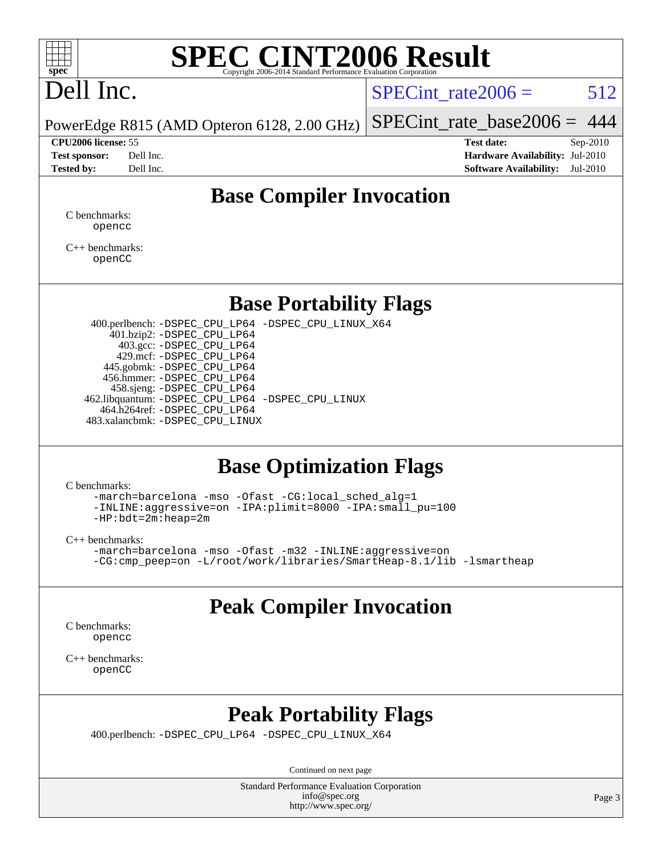

# **[SPEC CINT2006 Result](http://www.spec.org/auto/cpu2006/Docs/result-fields.html#SPECCINT2006Result)**

# Dell Inc.

SPECint rate  $2006 = 512$ 

PowerEdge R815 (AMD Opteron 6128, 2.00 GHz) [SPECint\\_rate\\_base2006 =](http://www.spec.org/auto/cpu2006/Docs/result-fields.html#SPECintratebase2006) 444

**[CPU2006 license:](http://www.spec.org/auto/cpu2006/Docs/result-fields.html#CPU2006license)** 55 **[Test date:](http://www.spec.org/auto/cpu2006/Docs/result-fields.html#Testdate)** Sep-2010 **[Test sponsor:](http://www.spec.org/auto/cpu2006/Docs/result-fields.html#Testsponsor)** Dell Inc. **[Hardware Availability:](http://www.spec.org/auto/cpu2006/Docs/result-fields.html#HardwareAvailability)** Jul-2010 **[Tested by:](http://www.spec.org/auto/cpu2006/Docs/result-fields.html#Testedby)** Dell Inc. **[Software Availability:](http://www.spec.org/auto/cpu2006/Docs/result-fields.html#SoftwareAvailability)** Jul-2010

### **[Base Compiler Invocation](http://www.spec.org/auto/cpu2006/Docs/result-fields.html#BaseCompilerInvocation)**

[C benchmarks](http://www.spec.org/auto/cpu2006/Docs/result-fields.html#Cbenchmarks): [opencc](http://www.spec.org/cpu2006/results/res2010q3/cpu2006-20100914-13268.flags.html#user_CCbase_Fopencc)

[C++ benchmarks:](http://www.spec.org/auto/cpu2006/Docs/result-fields.html#CXXbenchmarks) [openCC](http://www.spec.org/cpu2006/results/res2010q3/cpu2006-20100914-13268.flags.html#user_CXXbase_FopenCC)

#### **[Base Portability Flags](http://www.spec.org/auto/cpu2006/Docs/result-fields.html#BasePortabilityFlags)**

 400.perlbench: [-DSPEC\\_CPU\\_LP64](http://www.spec.org/cpu2006/results/res2010q3/cpu2006-20100914-13268.flags.html#b400.perlbench_basePORTABILITY_DSPEC_CPU_LP64) [-DSPEC\\_CPU\\_LINUX\\_X64](http://www.spec.org/cpu2006/results/res2010q3/cpu2006-20100914-13268.flags.html#b400.perlbench_baseCPORTABILITY_DSPEC_CPU_LINUX_X64) 401.bzip2: [-DSPEC\\_CPU\\_LP64](http://www.spec.org/cpu2006/results/res2010q3/cpu2006-20100914-13268.flags.html#suite_basePORTABILITY401_bzip2_DSPEC_CPU_LP64) 403.gcc: [-DSPEC\\_CPU\\_LP64](http://www.spec.org/cpu2006/results/res2010q3/cpu2006-20100914-13268.flags.html#suite_basePORTABILITY403_gcc_DSPEC_CPU_LP64) 429.mcf: [-DSPEC\\_CPU\\_LP64](http://www.spec.org/cpu2006/results/res2010q3/cpu2006-20100914-13268.flags.html#suite_basePORTABILITY429_mcf_DSPEC_CPU_LP64) 445.gobmk: [-DSPEC\\_CPU\\_LP64](http://www.spec.org/cpu2006/results/res2010q3/cpu2006-20100914-13268.flags.html#suite_basePORTABILITY445_gobmk_DSPEC_CPU_LP64) 456.hmmer: [-DSPEC\\_CPU\\_LP64](http://www.spec.org/cpu2006/results/res2010q3/cpu2006-20100914-13268.flags.html#suite_basePORTABILITY456_hmmer_DSPEC_CPU_LP64) 458.sjeng: [-DSPEC\\_CPU\\_LP64](http://www.spec.org/cpu2006/results/res2010q3/cpu2006-20100914-13268.flags.html#suite_basePORTABILITY458_sjeng_DSPEC_CPU_LP64) 462.libquantum: [-DSPEC\\_CPU\\_LP64](http://www.spec.org/cpu2006/results/res2010q3/cpu2006-20100914-13268.flags.html#suite_basePORTABILITY462_libquantum_DSPEC_CPU_LP64) [-DSPEC\\_CPU\\_LINUX](http://www.spec.org/cpu2006/results/res2010q3/cpu2006-20100914-13268.flags.html#b462.libquantum_baseCPORTABILITY_DSPEC_CPU_LINUX) 464.h264ref: [-DSPEC\\_CPU\\_LP64](http://www.spec.org/cpu2006/results/res2010q3/cpu2006-20100914-13268.flags.html#suite_basePORTABILITY464_h264ref_DSPEC_CPU_LP64) 483.xalancbmk: [-DSPEC\\_CPU\\_LINUX](http://www.spec.org/cpu2006/results/res2010q3/cpu2006-20100914-13268.flags.html#b483.xalancbmk_baseCXXPORTABILITY_DSPEC_CPU_LINUX)

#### **[Base Optimization Flags](http://www.spec.org/auto/cpu2006/Docs/result-fields.html#BaseOptimizationFlags)**

[C benchmarks](http://www.spec.org/auto/cpu2006/Docs/result-fields.html#Cbenchmarks):

[-march=barcelona](http://www.spec.org/cpu2006/results/res2010q3/cpu2006-20100914-13268.flags.html#user_CCbase_F-march_8ea39521cada96f307a04d0b8b9c6ffb) [-mso](http://www.spec.org/cpu2006/results/res2010q3/cpu2006-20100914-13268.flags.html#user_CCbase_F-mso) [-Ofast](http://www.spec.org/cpu2006/results/res2010q3/cpu2006-20100914-13268.flags.html#user_CCbase_F-Ofast) [-CG:local\\_sched\\_alg=1](http://www.spec.org/cpu2006/results/res2010q3/cpu2006-20100914-13268.flags.html#user_CCbase_F-CG:local_sched_alg_2175ca61f1a2717f1ec57b14995b9e7a) [-INLINE:aggressive=on](http://www.spec.org/cpu2006/results/res2010q3/cpu2006-20100914-13268.flags.html#user_CCbase_F-INLINE:aggressive_e14807c0a1e56a6a83cb25ab07c7ae8a) [-IPA:plimit=8000](http://www.spec.org/cpu2006/results/res2010q3/cpu2006-20100914-13268.flags.html#user_CCbase_F-IPA:plimit_92cba83f3d47f09c7d5368fda93ddbd7) [-IPA:small\\_pu=100](http://www.spec.org/cpu2006/results/res2010q3/cpu2006-20100914-13268.flags.html#user_CCbase_F-IPA:small_pu_900a09767c6929d55c26ea3d32399996) [-HP:bdt=2m:heap=2m](http://www.spec.org/cpu2006/results/res2010q3/cpu2006-20100914-13268.flags.html#user_CCbase_F-HUGEPAGE_855e97383b49831f390a2af16fe7202f)

[C++ benchmarks:](http://www.spec.org/auto/cpu2006/Docs/result-fields.html#CXXbenchmarks)

[-march=barcelona](http://www.spec.org/cpu2006/results/res2010q3/cpu2006-20100914-13268.flags.html#user_CXXbase_F-march_8ea39521cada96f307a04d0b8b9c6ffb) [-mso](http://www.spec.org/cpu2006/results/res2010q3/cpu2006-20100914-13268.flags.html#user_CXXbase_F-mso) [-Ofast](http://www.spec.org/cpu2006/results/res2010q3/cpu2006-20100914-13268.flags.html#user_CXXbase_F-Ofast) [-m32](http://www.spec.org/cpu2006/results/res2010q3/cpu2006-20100914-13268.flags.html#user_CXXbase_F-m32) [-INLINE:aggressive=on](http://www.spec.org/cpu2006/results/res2010q3/cpu2006-20100914-13268.flags.html#user_CXXbase_F-INLINE:aggressive_e14807c0a1e56a6a83cb25ab07c7ae8a) [-CG:cmp\\_peep=on](http://www.spec.org/cpu2006/results/res2010q3/cpu2006-20100914-13268.flags.html#user_CXXbase_F-CG:cmp_peep_ab90c979e95bee1f1f617a32622424ed) [-L/root/work/libraries/SmartHeap-8.1/lib -lsmartheap](http://www.spec.org/cpu2006/results/res2010q3/cpu2006-20100914-13268.flags.html#user_CXXbase_F-L_lib_directory_lsmartheap_9ab549d8336b8b0ffe7b94e3ae706265)

## **[Peak Compiler Invocation](http://www.spec.org/auto/cpu2006/Docs/result-fields.html#PeakCompilerInvocation)**

[C benchmarks](http://www.spec.org/auto/cpu2006/Docs/result-fields.html#Cbenchmarks): [opencc](http://www.spec.org/cpu2006/results/res2010q3/cpu2006-20100914-13268.flags.html#user_CCpeak_Fopencc)

[C++ benchmarks:](http://www.spec.org/auto/cpu2006/Docs/result-fields.html#CXXbenchmarks) [openCC](http://www.spec.org/cpu2006/results/res2010q3/cpu2006-20100914-13268.flags.html#user_CXXpeak_FopenCC)

### **[Peak Portability Flags](http://www.spec.org/auto/cpu2006/Docs/result-fields.html#PeakPortabilityFlags)**

400.perlbench: [-DSPEC\\_CPU\\_LP64](http://www.spec.org/cpu2006/results/res2010q3/cpu2006-20100914-13268.flags.html#b400.perlbench_peakPORTABILITY_DSPEC_CPU_LP64) [-DSPEC\\_CPU\\_LINUX\\_X64](http://www.spec.org/cpu2006/results/res2010q3/cpu2006-20100914-13268.flags.html#b400.perlbench_peakCPORTABILITY_DSPEC_CPU_LINUX_X64)

Continued on next page

Standard Performance Evaluation Corporation [info@spec.org](mailto:info@spec.org) <http://www.spec.org/>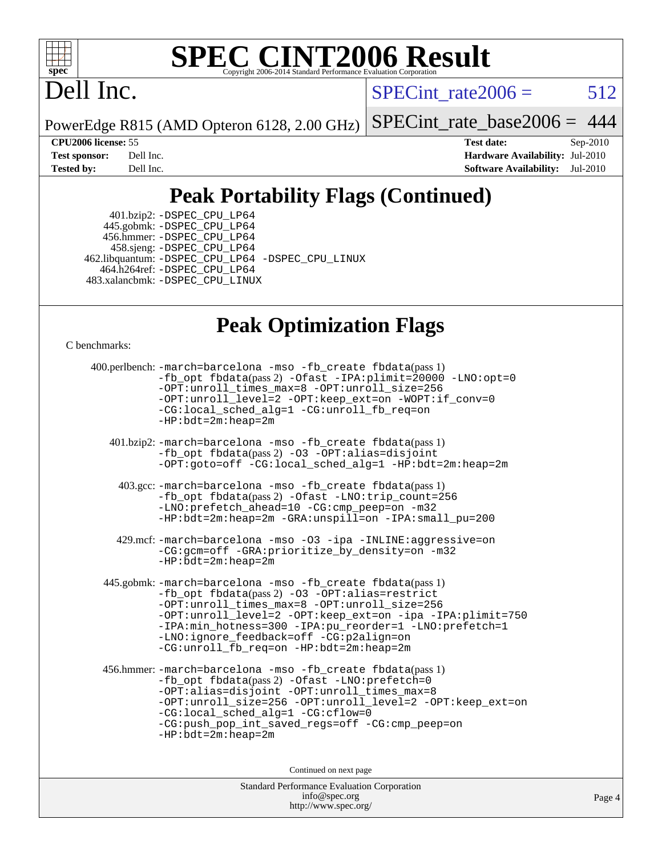

# **[SPEC CINT2006 Result](http://www.spec.org/auto/cpu2006/Docs/result-fields.html#SPECCINT2006Result)**

## Dell Inc.

SPECint\_rate $2006 = 512$ 

PowerEdge R815 (AMD Opteron 6128, 2.00 GHz)

[SPECint\\_rate\\_base2006 =](http://www.spec.org/auto/cpu2006/Docs/result-fields.html#SPECintratebase2006) 444

**[CPU2006 license:](http://www.spec.org/auto/cpu2006/Docs/result-fields.html#CPU2006license)** 55 **[Test date:](http://www.spec.org/auto/cpu2006/Docs/result-fields.html#Testdate)** Sep-2010 **[Test sponsor:](http://www.spec.org/auto/cpu2006/Docs/result-fields.html#Testsponsor)** Dell Inc. **[Hardware Availability:](http://www.spec.org/auto/cpu2006/Docs/result-fields.html#HardwareAvailability)** Jul-2010 **[Tested by:](http://www.spec.org/auto/cpu2006/Docs/result-fields.html#Testedby)** Dell Inc. **[Software Availability:](http://www.spec.org/auto/cpu2006/Docs/result-fields.html#SoftwareAvailability)** Jul-2010

## **[Peak Portability Flags \(Continued\)](http://www.spec.org/auto/cpu2006/Docs/result-fields.html#PeakPortabilityFlags)**

 401.bzip2: [-DSPEC\\_CPU\\_LP64](http://www.spec.org/cpu2006/results/res2010q3/cpu2006-20100914-13268.flags.html#suite_peakPORTABILITY401_bzip2_DSPEC_CPU_LP64) 445.gobmk: [-DSPEC\\_CPU\\_LP64](http://www.spec.org/cpu2006/results/res2010q3/cpu2006-20100914-13268.flags.html#suite_peakPORTABILITY445_gobmk_DSPEC_CPU_LP64) 456.hmmer: [-DSPEC\\_CPU\\_LP64](http://www.spec.org/cpu2006/results/res2010q3/cpu2006-20100914-13268.flags.html#suite_peakPORTABILITY456_hmmer_DSPEC_CPU_LP64) 458.sjeng: [-DSPEC\\_CPU\\_LP64](http://www.spec.org/cpu2006/results/res2010q3/cpu2006-20100914-13268.flags.html#suite_peakPORTABILITY458_sjeng_DSPEC_CPU_LP64) 462.libquantum: [-DSPEC\\_CPU\\_LP64](http://www.spec.org/cpu2006/results/res2010q3/cpu2006-20100914-13268.flags.html#suite_peakPORTABILITY462_libquantum_DSPEC_CPU_LP64) [-DSPEC\\_CPU\\_LINUX](http://www.spec.org/cpu2006/results/res2010q3/cpu2006-20100914-13268.flags.html#b462.libquantum_peakCPORTABILITY_DSPEC_CPU_LINUX) 464.h264ref: [-DSPEC\\_CPU\\_LP64](http://www.spec.org/cpu2006/results/res2010q3/cpu2006-20100914-13268.flags.html#suite_peakPORTABILITY464_h264ref_DSPEC_CPU_LP64) 483.xalancbmk: [-DSPEC\\_CPU\\_LINUX](http://www.spec.org/cpu2006/results/res2010q3/cpu2006-20100914-13268.flags.html#b483.xalancbmk_peakCXXPORTABILITY_DSPEC_CPU_LINUX)

#### **[Peak Optimization Flags](http://www.spec.org/auto/cpu2006/Docs/result-fields.html#PeakOptimizationFlags)**

[C benchmarks](http://www.spec.org/auto/cpu2006/Docs/result-fields.html#Cbenchmarks):

```
 400.perlbench: -march=barcelona -mso -fb_create fbdata(pass 1)
         -fb_opt fbdata(pass 2) -Ofast -IPA:plimit=20000 -LNO:opt=0
         -OPT:unroll_times_max=8 -OPT:unroll_size=256
         -OPT:unroll_level=2 -OPT:keep_ext=on -WOPT:if_conv=0
         -CG:local_sched_alg=1 -CG:unroll_fb_req=on
         -HP:bdt=2m:heap=2m
  401.bzip2: -march=barcelona -mso -fb_create fbdata(pass 1)
         -fb_opt fbdata(pass 2) -O3 -OPT:alias=disjoint
         -OPT:goto=off -CG:local_sched_alg=1 -HP:bdt=2m:heap=2m
   403.gcc: -march=barcelona -mso -fb_create fbdata(pass 1)
         -fb_opt fbdata(pass 2) -Ofast -LNO:trip_count=256
         -LNO:prefetch_ahead=10 -CG:cmp_peep=on -m32
         -HP:bdt=2m:heap=2m -GRA:unspill=on -IPA:small_pu=200
   429.mcf: -march=barcelona -mso -O3 -ipa -INLINE:aggressive=on
         -CG:gcm=off -GRA:prioritize_by_density=on -m32
        -HP:bdt=2m:heap=2m
445.gobmk: -march=barcelona -mso -fb_create fbdata(pass 1)
         -fb_opt fbdata(pass 2) -O3 -OPT:alias=restrict
         -OPT:unroll_times_max=8 -OPT:unroll_size=256
         -OPT:unroll_level=2 -OPT:keep_ext=on -ipa -IPA:plimit=750
         -IPA:min_hotness=300-IPA:pu_reorder=1-LNO:prefetch=1
         -LNO:ignore_feedback=off -CG:p2align=on
         -CG:unroll_fb_req=on -HP:bdt=2m:heap=2m
456.hmmer: -march=barcelona -mso -fb_create fbdata(pass 1)
         -fb_opt fbdata(pass 2) -Ofast -LNO:prefetch=0
         -OPT:alias=disjoint -OPT:unroll_times_max=8
         -OPT:unroll_size=256 -OPT:unroll_level=2 -OPT:keep_ext=on
         -CG:local_sched_alg=1 -CG:cflow=0
         -CG:push_pop_int_saved_regs=off -CG:cmp_peep=on
         -HP:bdt=2m:heap=2m
                              Continued on next page
```